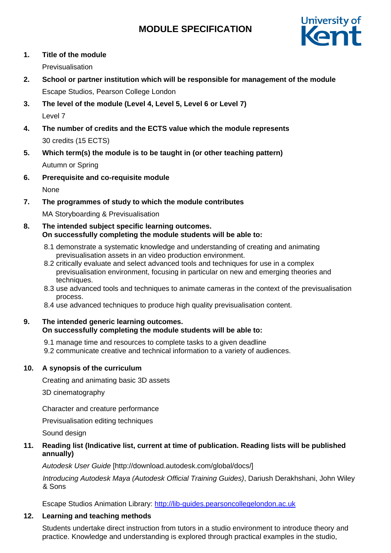# **MODULE SPECIFICATION**



## **1. Title of the module**

Previsualisation

- **2. School or partner institution which will be responsible for management of the module** Escape Studios, Pearson College London
- **3. The level of the module (Level 4, Level 5, Level 6 or Level 7)** Level 7
- **4. The number of credits and the ECTS value which the module represents** 30 credits (15 ECTS)
- **5. Which term(s) the module is to be taught in (or other teaching pattern)** Autumn or Spring
- **6. Prerequisite and co-requisite module**

None

**7. The programmes of study to which the module contributes**

MA Storyboarding & Previsualisation

### **8. The intended subject specific learning outcomes. On successfully completing the module students will be able to:**

- 8.1 demonstrate a systematic knowledge and understanding of creating and animating previsualisation assets in an video production environment.
- 8.2 critically evaluate and select advanced tools and techniques for use in a complex previsualisation environment, focusing in particular on new and emerging theories and techniques.
- 8.3 use advanced tools and techniques to animate cameras in the context of the previsualisation process.
- 8.4 use advanced techniques to produce high quality previsualisation content.

#### **9. The intended generic learning outcomes. On successfully completing the module students will be able to:**

- 9.1 manage time and resources to complete tasks to a given deadline
- 9.2 communicate creative and technical information to a variety of audiences.

# **10. A synopsis of the curriculum**

Creating and animating basic 3D assets

3D cinematography

Character and creature performance

Previsualisation editing techniques

Sound design

# **11. Reading list (Indicative list, current at time of publication. Reading lists will be published annually)**

*Autodesk User Guide* [\[http://download.autodesk.com/global/docs/\]](http://download.autodesk.com/global/docs/)

*Introducing Autodesk Maya (Autodesk Official Training Guides)*, Dariush Derakhshani, John Wiley & Sons

Escape Studios Animation Library: [http://lib-guides.pearsoncollegelondon.ac.uk](https://urldefense.proofpoint.com/v2/url?u=http-3A__lib-2Dguides.pearsoncollegelondon.ac.uk&d=DwMFaQ&c=0YLnzTkWOdJlub_y7qAx8Q&r=SpDSvozb703YwkXZ2yDQYI1lZ4AMWS_xY3tIzXhDKRM&m=Wo7EOP_-8zVCHZXwF_I5sDe9ZB-grFmVDA3TdcQblIY&s=WU9Q4fPopBQT9LD44xKhkKjXmHBxHntpfyVFWcTzTk8&e)

# **12. Learning and teaching methods**

Students undertake direct instruction from tutors in a studio environment to introduce theory and practice. Knowledge and understanding is explored through practical examples in the studio,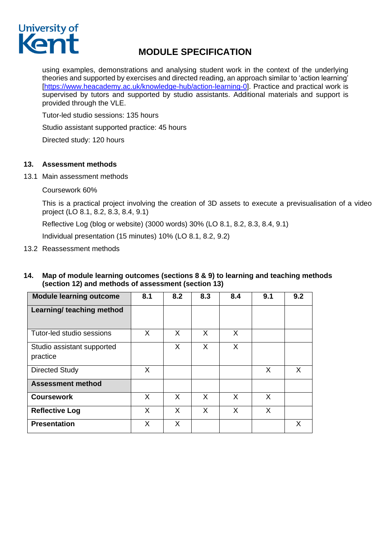# University of Kent

# **MODULE SPECIFICATION**

using examples, demonstrations and analysing student work in the context of the underlying theories and supported by exercises and directed reading, an approach similar to 'action learning' [\[https://www.heacademy.ac.uk/knowledge-hub/action-learning-0\]](https://www.heacademy.ac.uk/knowledge-hub/action-learning-0). Practice and practical work is supervised by tutors and supported by studio assistants. Additional materials and support is provided through the VLE.

Tutor-led studio sessions: 135 hours

Studio assistant supported practice: 45 hours

Directed study: 120 hours

#### **13. Assessment methods**

13.1 Main assessment methods

Coursework 60%

This is a practical project involving the creation of 3D assets to execute a previsualisation of a video project (LO 8.1, 8.2, 8.3, 8.4, 9.1)

Reflective Log (blog or website) (3000 words) 30% (LO 8.1, 8.2, 8.3, 8.4, 9.1)

Individual presentation (15 minutes) 10% (LO 8.1, 8.2, 9.2)

13.2 Reassessment methods

#### **14. Map of module learning outcomes (sections 8 & 9) to learning and teaching methods (section 12) and methods of assessment (section 13)**

| <b>Module learning outcome</b>         | 8.1 | 8.2 | 8.3 | 8.4 | 9.1 | 9.2 |
|----------------------------------------|-----|-----|-----|-----|-----|-----|
| Learning/ teaching method              |     |     |     |     |     |     |
| Tutor-led studio sessions              | X   | X   | X   | X   |     |     |
| Studio assistant supported<br>practice |     | X   | X   | X   |     |     |
| <b>Directed Study</b>                  | X   |     |     |     | X   | X   |
| <b>Assessment method</b>               |     |     |     |     |     |     |
| <b>Coursework</b>                      | X   | X   | X   | X   | X   |     |
| <b>Reflective Log</b>                  | X   | X   | X   | X   | X   |     |
| <b>Presentation</b>                    | X   | X.  |     |     |     | X   |